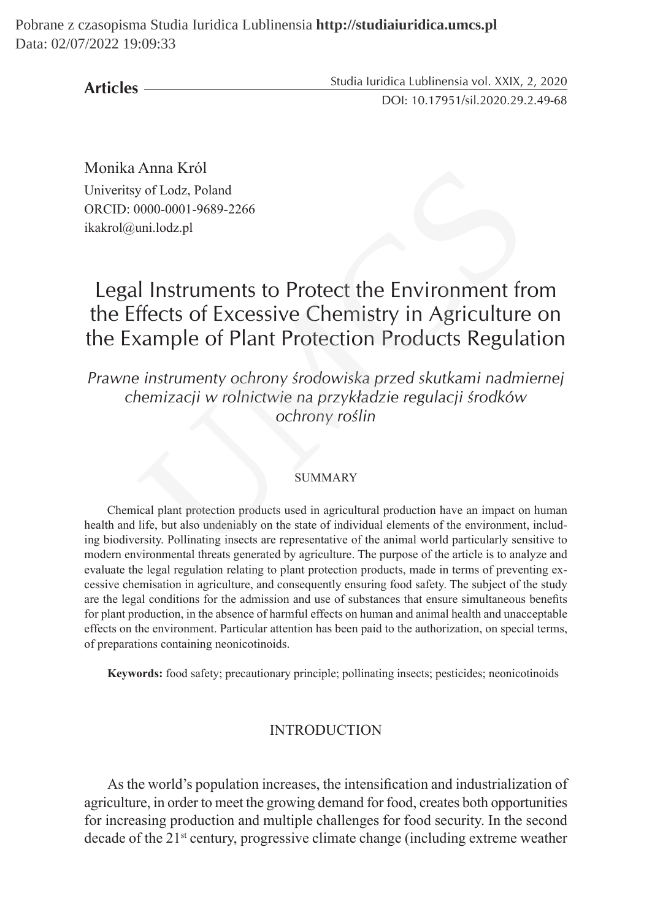**Articles**

Studia Iuridica Lublinensia vol. XXIX, 2, 2020 DOI: 10.17951/sil.2020.29.2.49-68

Monika Anna Król Univeritsy of Lodz, Poland ORCID: 0000-0001-9689-2266 ikakrol@uni.lodz.pl

# Legal Instruments to Protect the Environment from the Effects of Excessive Chemistry in Agriculture on the Example of Plant Protection Products Regulation UMCS

*Prawne instrumenty ochrony środowiska przed skutkami nadmiernej chemizacji w rolnictwie na przykładzie regulacji środków ochrony roślin*

#### SUMMARY

Chemical plant protection products used in agricultural production have an impact on human health and life, but also undeniably on the state of individual elements of the environment, including biodiversity. Pollinating insects are representative of the animal world particularly sensitive to modern environmental threats generated by agriculture. The purpose of the article is to analyze and evaluate the legal regulation relating to plant protection products, made in terms of preventing excessive chemisation in agriculture, and consequently ensuring food safety. The subject of the study are the legal conditions for the admission and use of substances that ensure simultaneous benefits for plant production, in the absence of harmful effects on human and animal health and unacceptable effects on the environment. Particular attention has been paid to the authorization, on special terms, of preparations containing neonicotinoids.

**Keywords:** food safety; precautionary principle; pollinating insects; pesticides; neonicotinoids

#### **INTRODUCTION**

As the world's population increases, the intensification and industrialization of agriculture, in order to meet the growing demand for food, creates both opportunities for increasing production and multiple challenges for food security. In the second decade of the 21st century, progressive climate change (including extreme weather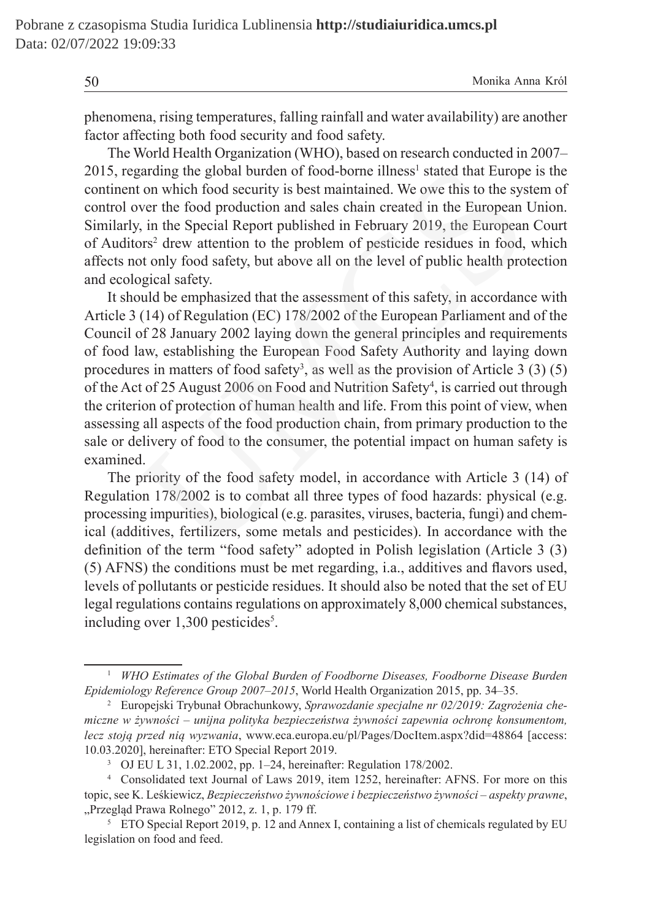phenomena, rising temperatures, falling rainfall and water availability) are another factor affecting both food security and food safety.

The World Health Organization (WHO), based on research conducted in 2007– 2015, regarding the global burden of food-borne illness<sup>1</sup> stated that Europe is the continent on which food security is best maintained. We owe this to the system of control over the food production and sales chain created in the European Union. Similarly, in the Special Report published in February 2019, the European Court of Auditors<sup>2</sup> drew attention to the problem of pesticide residues in food, which affects not only food safety, but above all on the level of public health protection and ecological safety.

It should be emphasized that the assessment of this safety, in accordance with Article 3 (14) of Regulation (EC) 178/2002 of the European Parliament and of the Council of 28 January 2002 laying down the general principles and requirements of food law, establishing the European Food Safety Authority and laying down procedures in matters of food safety<sup>3</sup>, as well as the provision of Article 3  $(3)$   $(5)$ of the Act of 25 August 2006 on Food and Nutrition Safety<sup>4</sup>, is carried out through the criterion of protection of human health and life. From this point of view, when assessing all aspects of the food production chain, from primary production to the sale or delivery of food to the consumer, the potential impact on human safety is examined. garding the global burden of food-borne illness<sup>1</sup> stated that Europe<br>t on which food security is best maintained. We owe this to the sys<br>over the food production and sales chain created in the European<br>in the Special Repo

The priority of the food safety model, in accordance with Article 3 (14) of Regulation 178/2002 is to combat all three types of food hazards: physical (e.g. processing impurities), biological (e.g. parasites, viruses, bacteria, fungi) and chemical (additives, fertilizers, some metals and pesticides). In accordance with the definition of the term "food safety" adopted in Polish legislation (Article 3 (3) (5) AFNS) the conditions must be met regarding, i.a., additives and flavors used, levels of pollutants or pesticide residues. It should also be noted that the set of EU legal regulations contains regulations on approximately 8,000 chemical substances, including over 1,300 pesticides<sup>5</sup>.

<sup>1</sup> *WHO Estimates of the Global Burden of Foodborne Diseases, Foodborne Disease Burden Epidemiology Reference Group 2007–2015*, World Health Organization 2015, pp. 34–35.

<sup>2</sup> Europejski Trybunał Obrachunkowy, *Sprawozdanie specjalne nr 02/2019: Zagrożenia chemiczne w żywności – unijna polityka bezpieczeństwa żywności zapewnia ochronę konsumentom, lecz stoją przed nią wyzwania*, www.eca.europa.eu/pl/Pages/DocItem.aspx?did=48864 [access: 10.03.2020], hereinafter: ETO Special Report 2019.

<sup>3</sup> OJ EU L 31, 1.02.2002, pp. 1–24, hereinafter: Regulation 178/2002.

<sup>4</sup> Consolidated text Journal of Laws 2019, item 1252, hereinafter: AFNS. For more on this topic, see K. Leśkiewicz, *Bezpieczeństwo żywnościowe i bezpieczeństwo żywności – aspekty prawne*, "Przegląd Prawa Rolnego" 2012, z. 1, p. 179 ff.

<sup>&</sup>lt;sup>5</sup> ETO Special Report 2019, p. 12 and Annex I, containing a list of chemicals regulated by EU legislation on food and feed.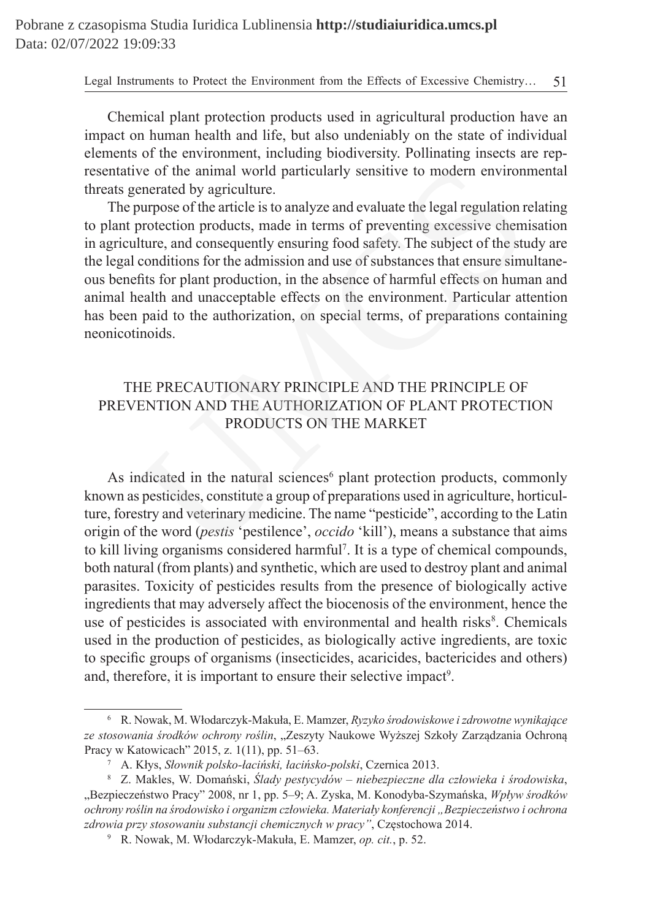Chemical plant protection products used in agricultural production have an impact on human health and life, but also undeniably on the state of individual elements of the environment, including biodiversity. Pollinating insects are representative of the animal world particularly sensitive to modern environmental threats generated by agriculture.

The purpose of the article is to analyze and evaluate the legal regulation relating to plant protection products, made in terms of preventing excessive chemisation in agriculture, and consequently ensuring food safety. The subject of the study are the legal conditions for the admission and use of substances that ensure simultaneous benefits for plant production, in the absence of harmful effects on human and animal health and unacceptable effects on the environment. Particular attention has been paid to the authorization, on special terms, of preparations containing neonicotinoids. is the animal world particularly sensitive to modern environmentated by agriculture.<br>
purpose of the article is to analyze and evaluate the legal regulation r<br>
purpose of the article is to analyze and evaluate the legal re

# THE PRECAUTIONARY PRINCIPLE AND THE PRINCIPLE OF PREVENTION AND THE AUTHORIZATION OF PLANT PROTECTION PRODUCTS ON THE MARKET

As indicated in the natural sciences<sup>6</sup> plant protection products, commonly known as pesticides, constitute a group of preparations used in agriculture, horticulture, forestry and veterinary medicine. The name "pesticide", according to the Latin origin of the word (*pestis* 'pestilence', *occido* 'kill'), means a substance that aims to kill living organisms considered harmful<sup>7</sup> . It is a type of chemical compounds, both natural (from plants) and synthetic, which are used to destroy plant and animal parasites. Toxicity of pesticides results from the presence of biologically active ingredients that may adversely affect the biocenosis of the environment, hence the use of pesticides is associated with environmental and health risks $<sup>8</sup>$ . Chemicals</sup> used in the production of pesticides, as biologically active ingredients, are toxic to specific groups of organisms (insecticides, acaricides, bactericides and others) and, therefore, it is important to ensure their selective impact<sup>9</sup>.

<sup>6</sup> R. Nowak, M. Włodarczyk-Makuła, E. Mamzer, *Ryzyko środowiskowe izdrowotne wynikające ze stosowania środków ochrony roślin*, "Zeszyty Naukowe Wyższej Szkoły Zarządzania Ochroną Pracy w Katowicach" 2015, z. 1(11), pp. 51–63.

<sup>7</sup> A. Kłys, *Słownik polsko-łaciński, łacińsko-polski*, Czernica 2013.

<sup>8</sup> Z. Makles, W. Domański, *Ślady pestycydów – niebezpieczne dla człowieka i środowiska*, "Bezpieczeństwo Pracy" 2008, nr 1, pp. 5–9; A. Zyska, M. Konodyba-Szymańska, *Wpływ środków ochrony roślin na środowisko i organizm człowieka. Materiały konferencji "Bezpieczeństwo i ochrona zdrowia przy stosowaniu substancji chemicznych w pracy"*, Częstochowa 2014.

<sup>9</sup> R. Nowak, M. Włodarczyk-Makuła, E. Mamzer, *op. cit.*, p. 52.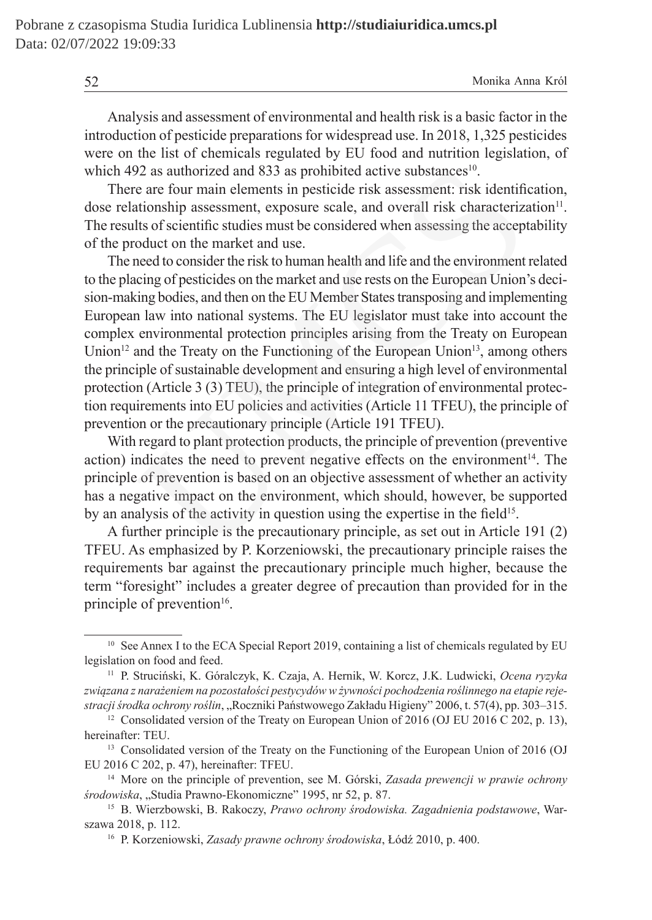Analysis and assessment of environmental and health risk is a basic factor in the introduction of pesticide preparations for widespread use. In 2018, 1,325 pesticides were on the list of chemicals regulated by EU food and nutrition legislation, of which 492 as authorized and 833 as prohibited active substances<sup>10</sup>.

There are four main elements in pesticide risk assessment: risk identification, dose relationship assessment, exposure scale, and overall risk characterization<sup>11</sup>. The results of scientific studies must be considered when assessing the acceptability of the product on the market and use.

The need to consider the risk to human health and life and the environment related to the placing of pesticides on the market and use rests on the European Union's decision-making bodies, and then on the EU Member States transposing and implementing European law into national systems. The EU legislator must take into account the complex environmental protection principles arising from the Treaty on European Union<sup>12</sup> and the Treaty on the Functioning of the European Union<sup>13</sup>, among others the principle of sustainable development and ensuring a high level of environmental protection (Article 3 (3) TEU), the principle of integration of environmental protection requirements into EU policies and activities (Article 11 TFEU), the principle of prevention or the precautionary principle (Article 191 TFEU). 92 as authorized and 833 as prohibited active substances<sup>10</sup>.<br>
e are four main elements in pesticide risk assessment: risk identifictionship assessment, exposure scale, and overall risk characterizz<br>
ths of scientific stu

With regard to plant protection products, the principle of prevention (preventive action) indicates the need to prevent negative effects on the environment $14$ . The principle of prevention is based on an objective assessment of whether an activity has a negative impact on the environment, which should, however, be supported by an analysis of the activity in question using the expertise in the field<sup>15</sup>.

A further principle is the precautionary principle, as set out in Article 191 (2) TFEU. As emphasized by P. Korzeniowski, the precautionary principle raises the requirements bar against the precautionary principle much higher, because the term "foresight" includes a greater degree of precaution than provided for in the principle of prevention $16$ .

<sup>&</sup>lt;sup>10</sup> See Annex I to the ECA Special Report 2019, containing a list of chemicals regulated by EU legislation on food and feed.

<sup>11</sup> P. Struciński, K. Góralczyk, K. Czaja, A. Hernik, W. Korcz, J.K. Ludwicki, *Ocena ryzyka związana z narażeniem na pozostałości pestycydów w żywności pochodzenia roślinnego na etapie rejestracji środka ochrony roślin*, "Roczniki Państwowego Zakładu Higieny" 2006, t. 57(4), pp. 303–315.

<sup>&</sup>lt;sup>12</sup> Consolidated version of the Treaty on European Union of 2016 (OJ EU 2016 C 202, p. 13), hereinafter: TEU.

<sup>&</sup>lt;sup>13</sup> Consolidated version of the Treaty on the Functioning of the European Union of 2016 (OJ EU 2016 C 202, p. 47), hereinafter: TFEU.

<sup>14</sup> More on the principle of prevention, see M. Górski, *Zasada prewencji w prawie ochrony środowiska*, "Studia Prawno-Ekonomiczne" 1995, nr 52, p. 87.

<sup>15</sup> B. Wierzbowski, B. Rakoczy, *Prawo ochrony środowiska. Zagadnienia podstawowe*, Warszawa 2018, p. 112.

<sup>16</sup> P. Korzeniowski, *Zasady prawne ochrony środowiska*, Łódź 2010, p. 400.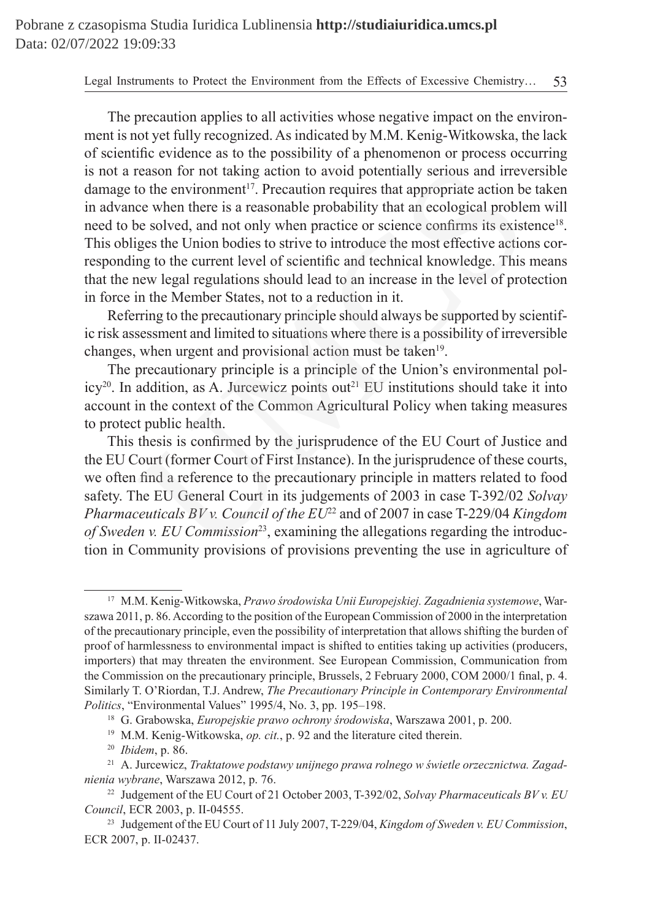The precaution applies to all activities whose negative impact on the environment is not yet fully recognized. As indicated by M.M. Kenig-Witkowska, the lack of scientific evidence as to the possibility of a phenomenon or process occurring is not a reason for not taking action to avoid potentially serious and irreversible damage to the environment<sup>17</sup>. Precaution requires that appropriate action be taken in advance when there is a reasonable probability that an ecological problem will need to be solved, and not only when practice or science confirms its existence<sup>18</sup>. This obliges the Union bodies to strive to introduce the most effective actions corresponding to the current level of scientific and technical knowledge. This means that the new legal regulations should lead to an increase in the level of protection in force in the Member States, not to a reduction in it. reason for not taking action to avoid potentially serious and irrev<br>to the environment<sup>17</sup>. Precaution requires that appropriate action be<br>ee when there is a reasonable probability that an ecological proble<br>be solved, and

Referring to the precautionary principle should always be supported by scientific risk assessment and limited to situations where there is a possibility of irreversible changes, when urgent and provisional action must be taken<sup>19</sup>.

The precautionary principle is a principle of the Union's environmental policy<sup>20</sup>. In addition, as A. Jurcewicz points out<sup>21</sup> EU institutions should take it into account in the context of the Common Agricultural Policy when taking measures to protect public health.

This thesis is confirmed by the jurisprudence of the EU Court of Justice and the EU Court (former Court of First Instance). In the jurisprudence of these courts, we often find a reference to the precautionary principle in matters related to food safety. The EU General Court in its judgements of 2003 in case T-392/02 *Solvay Pharmaceuticals BV v. Council of the EU*<sup>22</sup> and of 2007 in case T-229/04 *Kingdom of Sweden v. EU Commission*<sup>23</sup>, examining the allegations regarding the introduction in Community provisions of provisions preventing the use in agriculture of

<sup>17</sup> M.M. Kenig-Witkowska, *Prawo środowiska Unii Europejskiej. Zagadnienia systemowe*, Warszawa 2011, p. 86. According to the position of the European Commission of 2000 in the interpretation of the precautionary principle, even the possibility of interpretation that allows shifting the burden of proof of harmlessness to environmental impact is shifted to entities taking up activities (producers, importers) that may threaten the environment. See European Commission, Communication from the Commission on the precautionary principle, Brussels, 2 February 2000, COM 2000/1 final, p. 4. Similarly T. O'Riordan, T.J. Andrew, *The Precautionary Principle in Contemporary Environmental Politics*, "Environmental Values" 1995/4, No. 3, pp. 195–198.

<sup>18</sup> G. Grabowska, *Europejskie prawo ochrony środowiska*, Warszawa 2001, p. 200.

<sup>19</sup> M.M. Kenig-Witkowska, *op. cit.*, p. 92 and the literature cited therein.

<sup>20</sup> *Ibidem*, p. 86.

<sup>21</sup> A. Jurcewicz, *Traktatowe podstawy unijnego prawa rolnego w świetle orzecznictwa. Zagadnienia wybrane*, Warszawa 2012, p. 76.

<sup>&</sup>lt;sup>22</sup> Judgement of the EU Court of 21 October 2003, T-392/02, *Solvay Pharmaceuticals BV v. EU Council*, ECR 2003, p. II-04555.

<sup>23</sup> Judgement of the EU Court of 11 July 2007, T-229/04, *Kingdom of Sweden v. EU Commission*, ECR 2007, p. II-02437.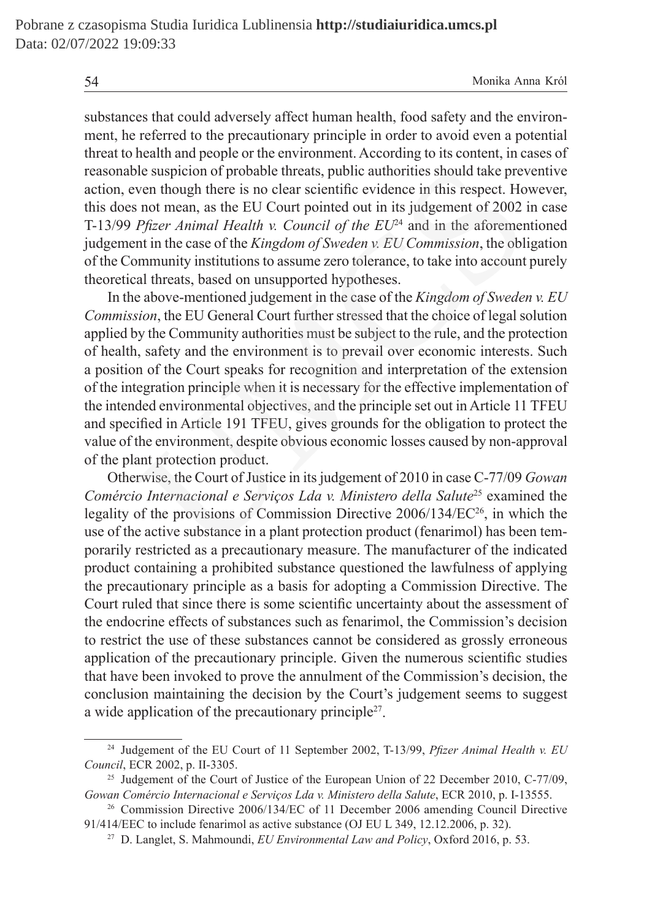substances that could adversely affect human health, food safety and the environment, he referred to the precautionary principle in order to avoid even a potential threat to health and people or the environment. According to its content, in cases of reasonable suspicion of probable threats, public authorities should take preventive action, even though there is no clear scientific evidence in this respect. However, this does not mean, as the EU Court pointed out in its judgement of 2002 in case T-13/99 *Pfizer Animal Health v. Council of the EU*24 and in the aforementioned judgement in the case of the *Kingdom of Sweden v. EU Commission*, the obligation of the Community institutions to assume zero tolerance, to take into account purely theoretical threats, based on unsupported hypotheses.

In the above-mentioned judgement in the case of the *Kingdom of Sweden v. EU Commission*, the EU General Court further stressed that the choice of legal solution applied by the Community authorities must be subject to the rule, and the protection of health, safety and the environment is to prevail over economic interests. Such a position of the Court speaks for recognition and interpretation of the extension of the integration principle when it is necessary for the effective implementation of the intended environmental objectives, and the principle set out in Article 11 TFEU and specified in Article 191 TFEU, gives grounds for the obligation to protect the value of the environment, despite obvious economic losses caused by non-approval of the plant protection product. ble suspicion of probable threats, public authorities should take preven though there is no clear scientific evidence in this respect. Ho not mean, as the EU Court pointed out in its judgement of 2002 in  $Pfizer Aminal Health v. Council of the EU$ 

Otherwise, the Court of Justice in its judgement of 2010 in case C-77/09 *Gowan Comércio Internacional e Serviços Lda v. Ministero della Salute*25 examined the legality of the provisions of Commission Directive  $2006/134/EC^{26}$ , in which the use of the active substance in a plant protection product (fenarimol) has been temporarily restricted as a precautionary measure. The manufacturer of the indicated product containing a prohibited substance questioned the lawfulness of applying the precautionary principle as a basis for adopting a Commission Directive. The Court ruled that since there is some scientific uncertainty about the assessment of the endocrine effects of substances such as fenarimol, the Commission's decision to restrict the use of these substances cannot be considered as grossly erroneous application of the precautionary principle. Given the numerous scientific studies that have been invoked to prove the annulment of the Commission's decision, the conclusion maintaining the decision by the Court's judgement seems to suggest a wide application of the precautionary principle27.

<sup>24</sup> Judgement of the EU Court of 11 September 2002, T-13/99, *Pfizer Animal Health v. EU Council*, ECR 2002, p. II-3305.

<sup>&</sup>lt;sup>25</sup> Judgement of the Court of Justice of the European Union of 22 December 2010, C-77/09, *Gowan Comércio Internacional e Serviços Lda v. Ministero della Salute*, ECR 2010, p. I-13555.

<sup>26</sup> Commission Directive 2006/134/EC of 11 December 2006 amending Council Directive 91/414/EEC to include fenarimol as active substance (OJ EU L 349, 12.12.2006, p. 32).

<sup>27</sup> D. Langlet, S. Mahmoundi, *EU Environmental Law and Policy*, Oxford 2016, p. 53.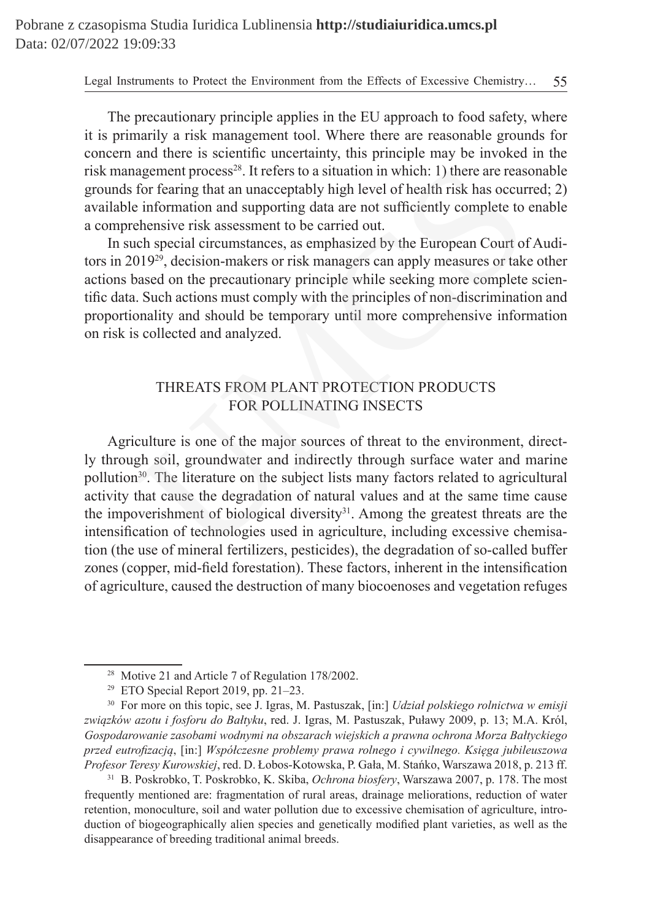The precautionary principle applies in the EU approach to food safety, where it is primarily a risk management tool. Where there are reasonable grounds for concern and there is scientific uncertainty, this principle may be invoked in the risk management process<sup>28</sup>. It refers to a situation in which: 1) there are reasonable grounds for fearing that an unacceptably high level of health risk has occurred; 2) available information and supporting data are not sufficiently complete to enable a comprehensive risk assessment to be carried out.

In such special circumstances, as emphasized by the European Court of Auditors in 201929, decision-makers or risk managers can apply measures or take other actions based on the precautionary principle while seeking more complete scientific data. Such actions must comply with the principles of non-discrimination and proportionality and should be temporary until more comprehensive information on risk is collected and analyzed.

# THREATS FROM PLANT PROTECTION PRODUCTS FOR POLLINATING INSECTS

Agriculture is one of the major sources of threat to the environment, directly through soil, groundwater and indirectly through surface water and marine pollution<sup>30</sup>. The literature on the subject lists many factors related to agricultural activity that cause the degradation of natural values and at the same time cause the impoverishment of biological diversity<sup>31</sup>. Among the greatest threats are the intensification of technologies used in agriculture, including excessive chemisation (the use of mineral fertilizers, pesticides), the degradation of so-called buffer zones (copper, mid-field forestation). These factors, inherent in the intensification of agriculture, caused the destruction of many biocoenoses and vegetation refuges agement process<sup>28</sup>. It refers to a situation in which: 1) there are reas<br>for fearing that an unacceptably high level of health risk has occur<br>information and supporting data are not sufficiently complete to<br>ehensive risk

<sup>31</sup> B. Poskrobko, T. Poskrobko, K. Skiba, *Ochrona biosfery*, Warszawa 2007, p. 178. The most frequently mentioned are: fragmentation of rural areas, drainage meliorations, reduction of water retention, monoculture, soil and water pollution due to excessive chemisation of agriculture, introduction of biogeographically alien species and genetically modified plant varieties, as well as the disappearance of breeding traditional animal breeds.

<sup>28</sup> Motive 21 and Article 7 of Regulation 178/2002.

<sup>&</sup>lt;sup>29</sup> ETO Special Report 2019, pp. 21–23.

<sup>30</sup> For more on this topic, see J. Igras, M. Pastuszak, [in:] *Udział polskiego rolnictwa w emisji związków azotu i fosforu do Bałtyku*, red. J. Igras, M. Pastuszak, Puławy 2009, p. 13; M.A. Król, *Gospodarowanie zasobami wodnymi na obszarach wiejskich a prawna ochrona Morza Bałtyckiego przed eutrofizacją*, [in:] *Współczesne problemy prawa rolnego i cywilnego. Księga jubileuszowa Profesor Teresy Kurowskiej*, red. D. Łobos-Kotowska, P. Gała, M. Stańko, Warszawa 2018, p. 213 ff.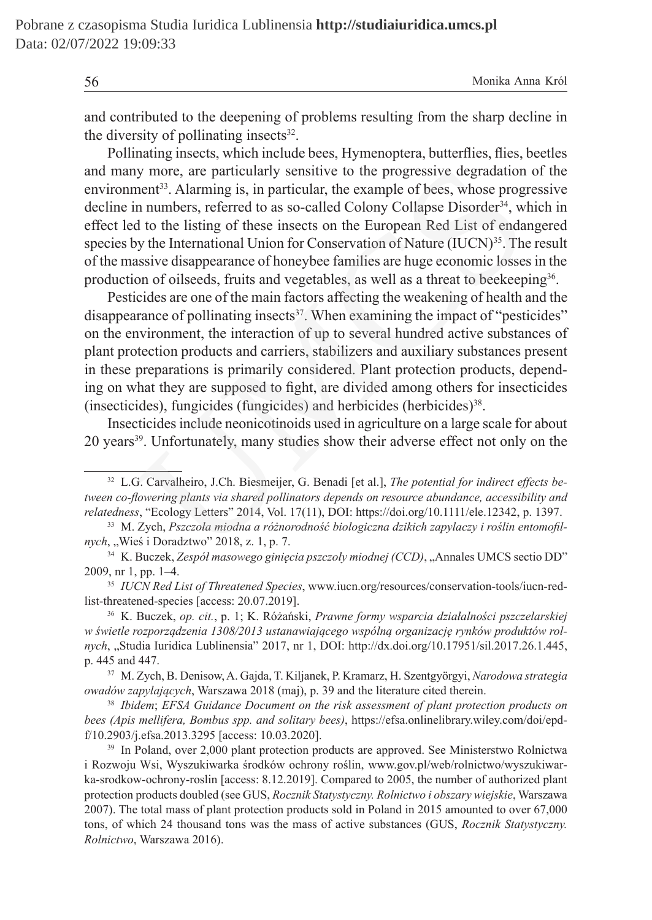and contributed to the deepening of problems resulting from the sharp decline in the diversity of pollinating insects $32$ .

Pollinating insects, which include bees, Hymenoptera, butterflies, flies, beetles and many more, are particularly sensitive to the progressive degradation of the environment<sup>33</sup>. Alarming is, in particular, the example of bees, whose progressive decline in numbers, referred to as so-called Colony Collapse Disorder<sup>34</sup>, which in effect led to the listing of these insects on the European Red List of endangered species by the International Union for Conservation of Nature (IUCN)<sup>35</sup>. The result of the massive disappearance of honeybee families are huge economic losses in the production of oilseeds, fruits and vegetables, as well as a threat to beekeeping<sup>36</sup>. is more, are particularly sensitive to the progressive degradation<br>nent<sup>33</sup>. Alarming is, in particular, the example of bees, whose progressive numbers, referred to as so-called Colony Collapse Disorder<sup>34</sup>, with to the l

Pesticides are one of the main factors affecting the weakening of health and the disappearance of pollinating insects<sup>37</sup>. When examining the impact of "pesticides" on the environment, the interaction of up to several hundred active substances of plant protection products and carriers, stabilizers and auxiliary substances present in these preparations is primarily considered. Plant protection products, depending on what they are supposed to fight, are divided among others for insecticides (insecticides), fungicides (fungicides) and herbicides (herbicides)<sup>38</sup>.

Insecticides include neonicotinoids used in agriculture on a large scale for about 20 years<sup>39</sup>. Unfortunately, many studies show their adverse effect not only on the

<sup>37</sup> M. Zych, B. Denisow, A. Gajda, T. Kiljanek, P. Kramarz, H. Szentgyörgyi, *Narodowa strategia owadów zapylających*, Warszawa 2018 (maj), p. 39 and the literature cited therein.

<sup>38</sup> *Ibidem*; *EFSA Guidance Document on the risk assessment of plant protection products on bees (Apis mellifera, Bombus spp. and solitary bees)*, https://efsa.onlinelibrary.wiley.com/doi/epdf/10.2903/j.efsa.2013.3295 [access: 10.03.2020].

<sup>39</sup> In Poland, over 2,000 plant protection products are approved. See Ministerstwo Rolnictwa i Rozwoju Wsi, Wyszukiwarka środków ochrony roślin, www.gov.pl/web/rolnictwo/wyszukiwarka-srodkow-ochrony-roslin [access: 8.12.2019]. Compared to 2005, the number of authorized plant protection products doubled (see GUS, *Rocznik Statystyczny. Rolnictwo i obszary wiejskie*, Warszawa 2007). The total mass of plant protection products sold in Poland in 2015 amounted to over 67,000 tons, of which 24 thousand tons was the mass of active substances (GUS, *Rocznik Statystyczny. Rolnictwo*, Warszawa 2016).

<sup>32</sup> L.G. Carvalheiro, J.Ch. Biesmeijer, G. Benadi [et al.], *The potential for indirect effects between co-flowering plants via shared pollinators depends on resource abundance, accessibility and relatedness*, "Ecology Letters" 2014, Vol. 17(11), DOI: https://doi.org/10.1111/ele.12342, p. 1397.

<sup>33</sup> M. Zych, *Pszczoła miodna a różnorodność biologiczna dzikich zapylaczy i roślin entomofilnych*, "Wieś i Doradztwo" 2018, z. 1, p. 7.

<sup>&</sup>lt;sup>34</sup> K. Buczek, *Zespół masowego ginięcia pszczoły miodnej (CCD)*, "Annales UMCS sectio DD" 2009, nr 1, pp. 1–4.

<sup>35</sup> *IUCN Red List of Threatened Species*, www.iucn.org/resources/conservation-tools/iucn-redlist-threatened-species [access: 20.07.2019].

<sup>36</sup> K. Buczek, *op. cit.*, p. 1; K. Różański, *Prawne formy wsparcia działalności pszczelarskiej w świetle rozporządzenia 1308/2013 ustanawiającego wspólną organizację rynków produktów rolnych*, "Studia Iuridica Lublinensia" 2017, nr 1, DOI: http://dx.doi.org/10.17951/sil.2017.26.1.445, p. 445 and 447.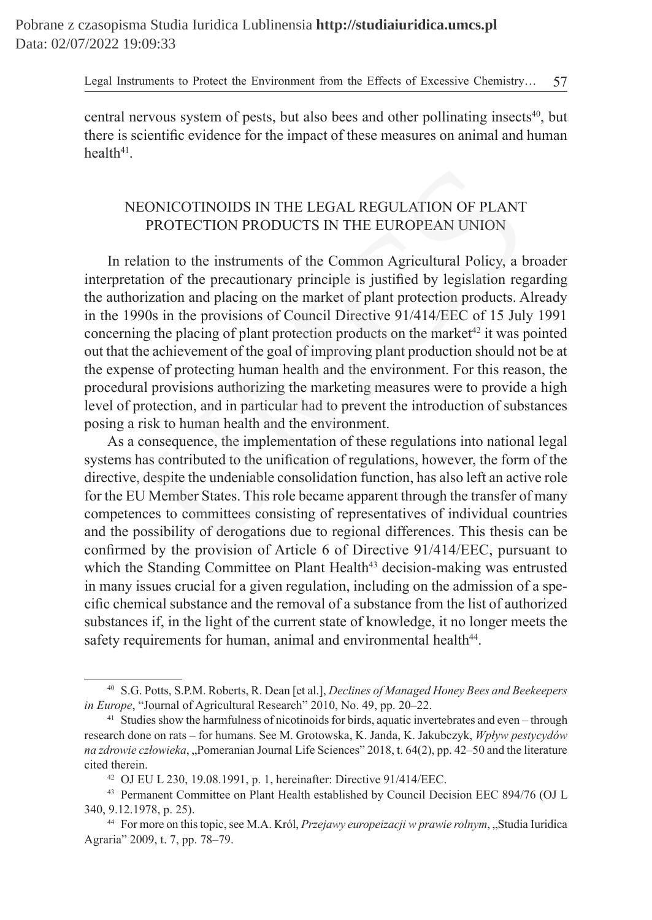central nervous system of pests, but also bees and other pollinating insects<sup>40</sup>, but there is scientific evidence for the impact of these measures on animal and human  $health<sup>41</sup>$ 

# NEONICOTINOIDS IN THE LEGAL REGULATION OF PLANT PROTECTION PRODUCTS IN THE EUROPEAN UNION

In relation to the instruments of the Common Agricultural Policy, a broader interpretation of the precautionary principle is justified by legislation regarding the authorization and placing on the market of plant protection products. Already in the 1990s in the provisions of Council Directive 91/414/EEC of 15 July 1991 concerning the placing of plant protection products on the market<sup> $42$ </sup> it was pointed out that the achievement of the goal of improving plant production should not be at the expense of protecting human health and the environment. For this reason, the procedural provisions authorizing the marketing measures were to provide a high level of protection, and in particular had to prevent the introduction of substances posing a risk to human health and the environment. EONICOTINOIDS IN THE LEGAL REGULATION OF PLANT<br>
PROTECTION PRODUCTS IN THE EUROPEAN UNION<br>
PROTECTION PRODUCTS IN THE EUROPEAN UNION<br>
atation to the instruments of the Common Agricultural Policy, a b<br>
ation of the precaut

As a consequence, the implementation of these regulations into national legal systems has contributed to the unification of regulations, however, the form of the directive, despite the undeniable consolidation function, has also left an active role for the EU Member States. This role became apparent through the transfer of many competences to committees consisting of representatives of individual countries and the possibility of derogations due to regional differences. This thesis can be confirmed by the provision of Article 6 of Directive 91/414/EEC, pursuant to which the Standing Committee on Plant Health<sup>43</sup> decision-making was entrusted in many issues crucial for a given regulation, including on the admission of a specific chemical substance and the removal of a substance from the list of authorized substances if, in the light of the current state of knowledge, it no longer meets the safety requirements for human, animal and environmental health<sup>44</sup>.

<sup>40</sup> S.G. Potts, S.P.M. Roberts, R. Dean [et al.], *Declines of Managed Honey Bees and Beekeepers in Europe*, "Journal of Agricultural Research" 2010, No. 49, pp. 20–22.

<sup>&</sup>lt;sup>41</sup> Studies show the harmfulness of nicotinoids for birds, aquatic invertebrates and even – through research done on rats – for humans. See M. Grotowska, K. Janda, K. Jakubczyk, *Wpływ pestycydów na zdrowie człowieka*, "Pomeranian Journal Life Sciences" 2018, t. 64(2), pp. 42–50 and the literature cited therein.

<sup>42</sup> OJ EU L 230, 19.08.1991, p. 1, hereinafter: Directive 91/414/EEC.

<sup>43</sup> Permanent Committee on Plant Health established by Council Decision EEC 894/76 (OJ L 340, 9.12.1978, p. 25).

<sup>&</sup>lt;sup>44</sup> For more on this topic, see M.A. Król, *Przejawy europeizacji w prawie rolnym*, "Studia Iuridica Agraria" 2009, t. 7, pp. 78–79.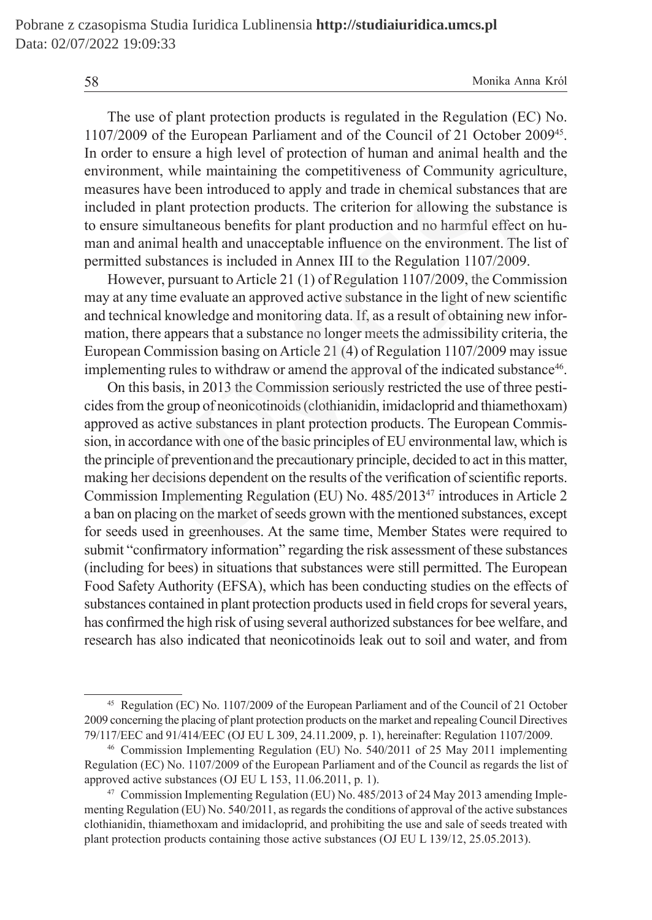The use of plant protection products is regulated in the Regulation (EC) No. 1107/2009 of the European Parliament and of the Council of 21 October 200945. In order to ensure a high level of protection of human and animal health and the environment, while maintaining the competitiveness of Community agriculture, measures have been introduced to apply and trade in chemical substances that are included in plant protection products. The criterion for allowing the substance is to ensure simultaneous benefits for plant production and no harmful effect on human and animal health and unacceptable influence on the environment. The list of permitted substances is included in Annex III to the Regulation 1107/2009.

However, pursuant to Article 21 (1) of Regulation 1107/2009, the Commission may at any time evaluate an approved active substance in the light of new scientific and technical knowledge and monitoring data. If, as a result of obtaining new information, there appears that a substance no longer meets the admissibility criteria, the European Commission basing on Article 21 (4) of Regulation 1107/2009 may issue implementing rules to withdraw or amend the approval of the indicated substance<sup>46</sup>.

On this basis, in 2013 the Commission seriously restricted the use of three pesticides from the group of neonicotinoids (clothianidin, imidacloprid and thiamethoxam) approved as active substances in plant protection products. The European Commission, in accordance with one of the basic principles of EU environmental law, which is the principle of preventionand the precautionary principle, decided to act in this matter, making her decisions dependent on the results of the verification of scientific reports. Commission Implementing Regulation (EU) No. 485/201347 introduces in Article 2 a ban on placing on the market of seeds grown with the mentioned substances, except for seeds used in greenhouses. At the same time, Member States were required to submit "confirmatory information" regarding the risk assessment of these substances (including for bees) in situations that substances were still permitted. The European Food Safety Authority (EFSA), which has been conducting studies on the effects of substances contained in plant protection products used in field crops for several years, has confirmed the high risk of using several authorized substances for bee welfare, and research has also indicated that neonicotinoids leak out to soil and water, and from ment, while maintaining the competitiveness of Community agrics<br>have been introduced to apply and trade in chemical substances t<br>in plant protection products. The criterion for allowing the substa<br>s is multaneous benefits

<sup>45</sup> Regulation (EC) No. 1107/2009 of the European Parliament and of the Council of 21 October 2009 concerning the placing of plant protection products on the market and repealing Council Directives 79/117/EEC and 91/414/EEC (OJ EU L 309, 24.11.2009, p. 1), hereinafter: Regulation 1107/2009.

<sup>46</sup> Commission Implementing Regulation (EU) No. 540/2011 of 25 May 2011 implementing Regulation (EC) No. 1107/2009 of the European Parliament and of the Council as regards the list of approved active substances (OJ EU L 153, 11.06.2011, p. 1).

<sup>47</sup> Commission Implementing Regulation (EU) No. 485/2013 of 24 May 2013 amending Implementing Regulation (EU) No. 540/2011, as regards the conditions of approval of the active substances clothianidin, thiamethoxam and imidacloprid, and prohibiting the use and sale of seeds treated with plant protection products containing those active substances (OJ EU L 139/12, 25.05.2013).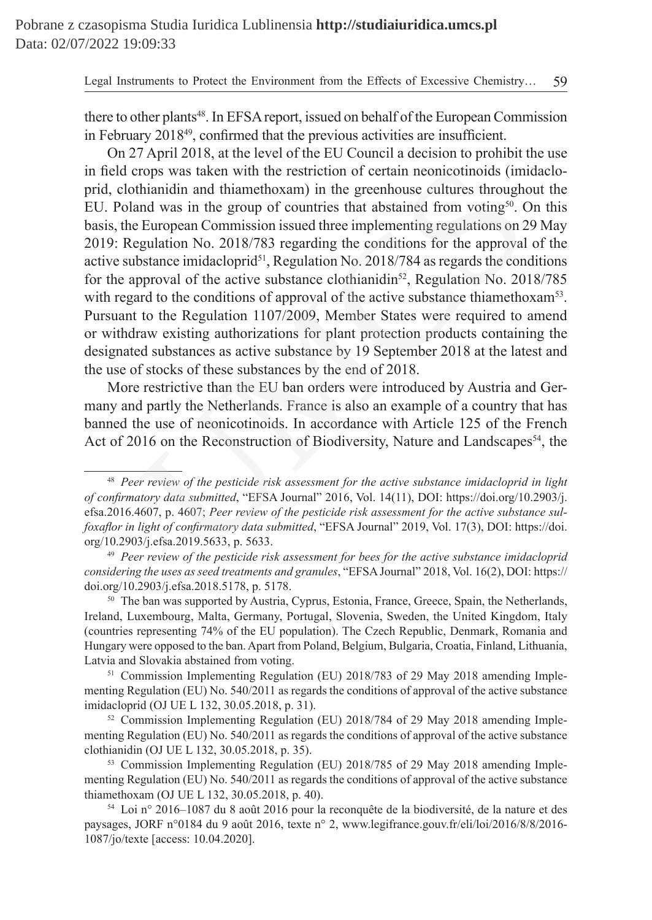there to other plants<sup>48</sup>. In EFSA report, issued on behalf of the European Commission in February 2018<sup>49</sup>, confirmed that the previous activities are insufficient.

On 27 April 2018, at the level of the EU Council a decision to prohibit the use in field crops was taken with the restriction of certain neonicotinoids (imidacloprid, clothianidin and thiamethoxam) in the greenhouse cultures throughout the EU. Poland was in the group of countries that abstained from voting $50$ . On this basis, the European Commission issued three implementing regulations on 29 May 2019: Regulation No. 2018/783 regarding the conditions for the approval of the active substance imidacloprid $51$ , Regulation No. 2018/784 as regards the conditions for the approval of the active substance clothianidin<sup>52</sup>, Regulation No. 2018/785 with regard to the conditions of approval of the active substance thiamethoxam<sup>53</sup>. Pursuant to the Regulation 1107/2009, Member States were required to amend or withdraw existing authorizations for plant protection products containing the designated substances as active substance by 19 September 2018 at the latest and the use of stocks of these substances by the end of 2018. rops was taken with the restriction of certain neonicotinoids (iminalian and thiamethoxam) in the greenhouse cultures through<br>and was in the group of countries that abstained from voting<sup>56</sup>. European Commission issued th

More restrictive than the EU ban orders were introduced by Austria and Germany and partly the Netherlands. France is also an example of a country that has banned the use of neonicotinoids. In accordance with Article 125 of the French Act of 2016 on the Reconstruction of Biodiversity, Nature and Landscapes<sup>54</sup>, the

<sup>48</sup> *Peer review of the pesticide risk assessment for the active substance imidacloprid in light of confirmatory data submitted*, "EFSA Journal" 2016, Vol. 14(11), DOI: https://doi.org/10.2903/j. efsa.2016.4607, p. 4607; *Peer review of the pesticide risk assessment for the active substance sulfoxaflor in light of confirmatory data submitted*, "EFSA Journal" 2019, Vol. 17(3), DOI: https://doi. org/10.2903/j.efsa.2019.5633, p. 5633.

<sup>49</sup> *Peer review of the pesticide risk assessment for bees for the active substance imidacloprid considering the uses as seed treatments and granules*, "EFSA Journal" 2018, Vol. 16(2), DOI: https:// doi.org/10.2903/j.efsa.2018.5178, p. 5178.

<sup>&</sup>lt;sup>50</sup> The ban was supported by Austria, Cyprus, Estonia, France, Greece, Spain, the Netherlands, Ireland, Luxembourg, Malta, Germany, Portugal, Slovenia, Sweden, the United Kingdom, Italy (countries representing 74% of the EU population). The Czech Republic, Denmark, Romania and Hungary were opposed to the ban. Apart from Poland, Belgium, Bulgaria, Croatia, Finland, Lithuania, Latvia and Slovakia abstained from voting.

<sup>51</sup> Commission Implementing Regulation (EU) 2018/783 of 29 May 2018 amending Implementing Regulation (EU) No. 540/2011 as regards the conditions of approval of the active substance imidacloprid (OJ UE L 132, 30.05.2018, p. 31).

<sup>52</sup> Commission Implementing Regulation (EU) 2018/784 of 29 May 2018 amending Implementing Regulation (EU) No. 540/2011 as regards the conditions of approval of the active substance clothianidin (OJ UE L 132, 30.05.2018, p. 35).

<sup>53</sup> Commission Implementing Regulation (EU) 2018/785 of 29 May 2018 amending Implementing Regulation (EU) No. 540/2011 as regards the conditions of approval of the active substance thiamethoxam (OJ UE L 132, 30.05.2018, p. 40).

<sup>54</sup> Loi n° 2016–1087 du 8 août 2016 pour la reconquête de la biodiversité, de la nature et des paysages, JORF n°0184 du 9 août 2016, texte n° 2, www.legifrance.gouv.fr/eli/loi/2016/8/8/2016- 1087/jo/texte [access: 10.04.2020].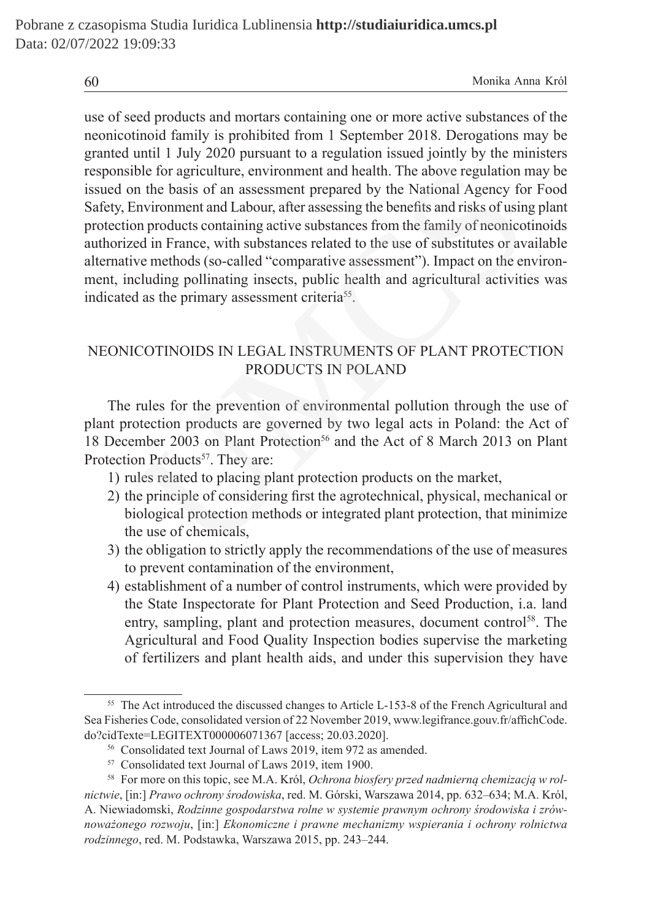use of seed products and mortars containing one or more active substances of the neonicotinoid family is prohibited from 1 September 2018. Derogations may be granted until 1 July 2020 pursuant to a regulation issued jointly by the ministers responsible for agriculture, environment and health. The above regulation may be issued on the basis of an assessment prepared by the National Agency for Food Safety, Environment and Labour, after assessing the benefits and risks of using plant protection products containing active substances from the family of neonicotinoids authorized in France, with substances related to the use of substitutes or available alternative methods (so-called "comparative assessment"). Impact on the environment, including pollinating insects, public health and agricultural activities was indicated as the primary assessment criteria<sup>55</sup>. ble for agriculture, environment and health. The above regulation in the basis of an assessment prepared by the National Agency fo<br>nvironment and Labour, after assessing the benefits and risks of usin<br>n products containing

# NEONICOTINOIDS IN LEGAL INSTRUMENTS OF PLANT PROTECTION PRODUCTS IN POLAND

The rules for the prevention of environmental pollution through the use of plant protection products are governed by two legal acts in Poland: the Act of 18 December 2003 on Plant Protection<sup>56</sup> and the Act of 8 March 2013 on Plant Protection Products<sup>57</sup>. They are:

- 1) rules related to placing plant protection products on the market,
- 2) the principle of considering first the agrotechnical, physical, mechanical or biological protection methods or integrated plant protection, that minimize the use of chemicals,
- 3) the obligation to strictly apply the recommendations of the use of measures to prevent contamination of the environment,
- 4) establishment of a number of control instruments, which were provided by the State Inspectorate for Plant Protection and Seed Production, i.a. land entry, sampling, plant and protection measures, document control<sup>58</sup>. The Agricultural and Food Quality Inspection bodies supervise the marketing of fertilizers and plant health aids, and under this supervision they have

<sup>&</sup>lt;sup>55</sup> The Act introduced the discussed changes to Article L-153-8 of the French Agricultural and Sea Fisheries Code, consolidated version of 22 November 2019, www.legifrance.gouv.fr/affichCode. do?cidTexte=LEGITEXT000006071367 [access; 20.03.2020].

<sup>56</sup> Consolidated text Journal of Laws 2019, item 972 as amended.

<sup>57</sup> Consolidated text Journal of Laws 2019, item 1900.

<sup>58</sup> For more on this topic, see M.A. Król, *Ochrona biosfery przed nadmierną chemizacją w rolnictwie*, [in:] *Prawo ochrony środowiska*, red. M. Górski, Warszawa 2014, pp. 632–634; M.A. Król, A. Niewiadomski, *Rodzinne gospodarstwa rolne w systemie prawnym ochrony środowiska i zrównoważonego rozwoju*, [in:] *Ekonomiczne i prawne mechanizmy wspierania i ochrony rolnictwa rodzinnego*, red. M. Podstawka, Warszawa 2015, pp. 243–244.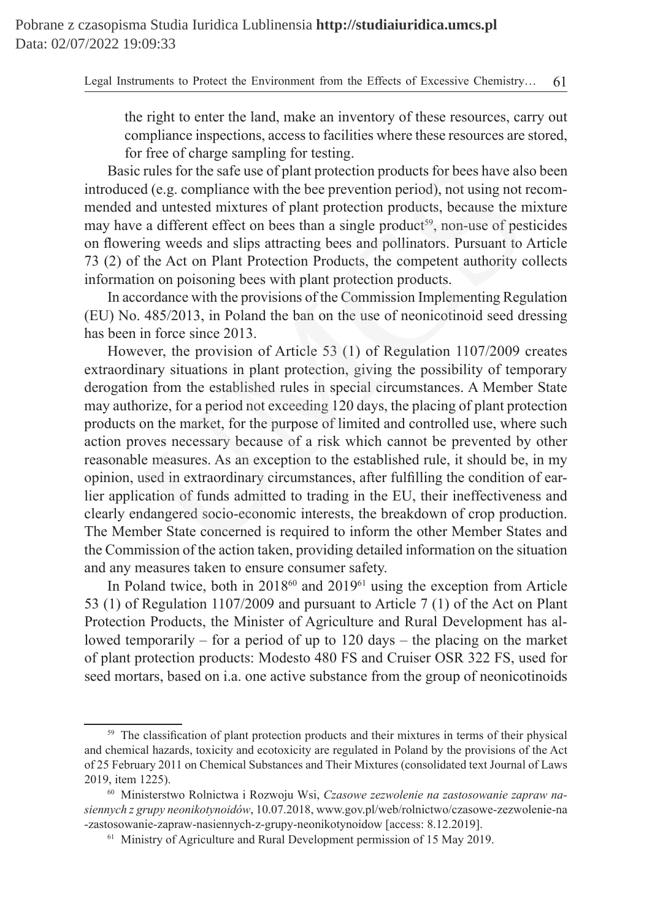the right to enter the land, make an inventory of these resources, carry out compliance inspections, access to facilities where these resources are stored, for free of charge sampling for testing.

Basic rules for the safe use of plant protection products for bees have also been introduced (e.g. compliance with the bee prevention period), not using not recommended and untested mixtures of plant protection products, because the mixture may have a different effect on bees than a single product<sup>59</sup>, non-use of pesticides on flowering weeds and slips attracting bees and pollinators. Pursuant to Article 73 (2) of the Act on Plant Protection Products, the competent authority collects information on poisoning bees with plant protection products.

In accordance with the provisions of the Commission Implementing Regulation (EU) No. 485/2013, in Poland the ban on the use of neonicotinoid seed dressing has been in force since 2013.

However, the provision of Article 53 (1) of Regulation 1107/2009 creates extraordinary situations in plant protection, giving the possibility of temporary derogation from the established rules in special circumstances. A Member State may authorize, for a period not exceeding 120 days, the placing of plant protection products on the market, for the purpose of limited and controlled use, where such action proves necessary because of a risk which cannot be prevented by other reasonable measures. As an exception to the established rule, it should be, in my opinion, used in extraordinary circumstances, after fulfilling the condition of earlier application of funds admitted to trading in the EU, their ineffectiveness and clearly endangered socio-economic interests, the breakdown of crop production. The Member State concerned is required to inform the other Member States and the Commission of the action taken, providing detailed information on the situation and any measures taken to ensure consumer safety. c rules for the safe use of plant protection products for bees have alsed (e.g. compliance with the bee prevention period), not using not and untested mixtures of plant protection products, because the n a and interest the

In Poland twice, both in 2018<sup>60</sup> and 2019<sup>61</sup> using the exception from Article 53 (1) of Regulation 1107/2009 and pursuant to Article 7 (1) of the Act on Plant Protection Products, the Minister of Agriculture and Rural Development has allowed temporarily – for a period of up to 120 days – the placing on the market of plant protection products: Modesto 480 FS and Cruiser OSR 322 FS, used for seed mortars, based on i.a. one active substance from the group of neonicotinoids

<sup>&</sup>lt;sup>59</sup> The classification of plant protection products and their mixtures in terms of their physical and chemical hazards, toxicity and ecotoxicity are regulated in Poland by the provisions of the Act of 25 February 2011 on Chemical Substances and Their Mixtures (consolidated text Journal of Laws 2019, item 1225).

<sup>60</sup> Ministerstwo Rolnictwa i Rozwoju Wsi, *Czasowe zezwolenie na zastosowanie zapraw nasiennych z grupy neonikotynoidów*, 10.07.2018, www.gov.pl/web/rolnictwo/czasowe-zezwolenie-na -zastosowanie-zapraw-nasiennych-z-grupy-neonikotynoidow [access: 8.12.2019].

<sup>&</sup>lt;sup>61</sup> Ministry of Agriculture and Rural Development permission of 15 May 2019.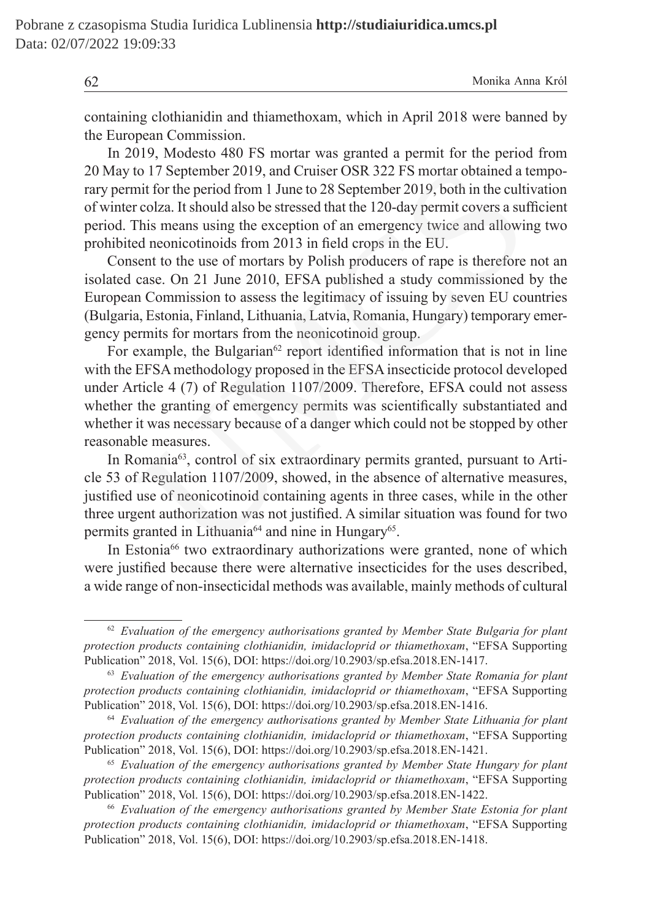containing clothianidin and thiamethoxam, which in April 2018 were banned by the European Commission.

In 2019, Modesto 480 FS mortar was granted a permit for the period from 20 May to 17 September 2019, and Cruiser OSR 322 FS mortar obtained a temporary permit for the period from 1 June to 28 September 2019, both in the cultivation of winter colza. It should also be stressed that the 120-day permit covers a sufficient period. This means using the exception of an emergency twice and allowing two prohibited neonicotinoids from 2013 in field crops in the EU.

Consent to the use of mortars by Polish producers of rape is therefore not an isolated case. On 21 June 2010, EFSA published a study commissioned by the European Commission to assess the legitimacy of issuing by seven EU countries (Bulgaria, Estonia, Finland, Lithuania, Latvia, Romania, Hungary) temporary emergency permits for mortars from the neonicotinoid group.

For example, the Bulgarian<sup>62</sup> report identified information that is not in line with the EFSA methodology proposed in the EFSA insecticide protocol developed under Article 4 (7) of Regulation 1107/2009. Therefore, EFSA could not assess whether the granting of emergency permits was scientifically substantiated and whether it was necessary because of a danger which could not be stopped by other reasonable measures. to 17 September 2019, and Cruiser OSR 322 FS mortar obtained a tuit for the period from 1 June to 28 September 2019, both in the culti-colza. It should also be stressed that the 120-day permit covers a suit colza. It shou

In Romania<sup>63</sup>, control of six extraordinary permits granted, pursuant to Article 53 of Regulation 1107/2009, showed, in the absence of alternative measures, justified use of neonicotinoid containing agents in three cases, while in the other three urgent authorization was not justified. A similar situation was found for two permits granted in Lithuania<sup>64</sup> and nine in Hungary<sup>65</sup>.

In Estonia<sup>66</sup> two extraordinary authorizations were granted, none of which were justified because there were alternative insecticides for the uses described, a wide range of non-insecticidal methods was available, mainly methods of cultural

<sup>62</sup> *Evaluation of the emergency authorisations granted by Member State Bulgaria for plant protection products containing clothianidin, imidacloprid or thiamethoxam*, "EFSA Supporting Publication" 2018, Vol. 15(6), DOI: https://doi.org/10.2903/sp.efsa.2018.EN-1417.

<sup>63</sup> *Evaluation of the emergency authorisations granted by Member State Romania for plant protection products containing clothianidin, imidacloprid or thiamethoxam*, "EFSA Supporting Publication" 2018, Vol. 15(6), DOI: https://doi.org/10.2903/sp.efsa.2018.EN-1416.

<sup>64</sup> *Evaluation of the emergency authorisations granted by Member State Lithuania for plant protection products containing clothianidin, imidacloprid or thiamethoxam*, "EFSA Supporting Publication" 2018, Vol. 15(6), DOI: https://doi.org/10.2903/sp.efsa.2018.EN-1421.

<sup>65</sup> *Evaluation of the emergency authorisations granted by Member State Hungary for plant protection products containing clothianidin, imidacloprid or thiamethoxam*, "EFSA Supporting Publication" 2018, Vol. 15(6), DOI: https://doi.org/10.2903/sp.efsa.2018.EN-1422.

<sup>66</sup> *Evaluation of the emergency authorisations granted by Member State Estonia for plant protection products containing clothianidin, imidacloprid or thiamethoxam*, "EFSA Supporting Publication" 2018, Vol. 15(6), DOI: https://doi.org/10.2903/sp.efsa.2018.EN-1418.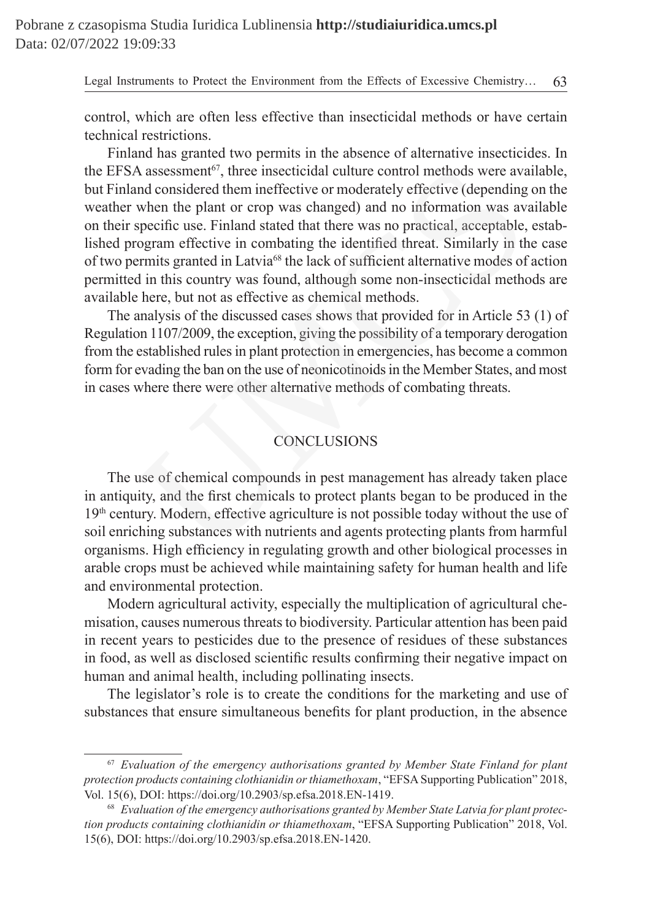control, which are often less effective than insecticidal methods or have certain technical restrictions.

Finland has granted two permits in the absence of alternative insecticides. In the EFSA assessment<sup>67</sup>, three insecticidal culture control methods were available, but Finland considered them ineffective or moderately effective (depending on the weather when the plant or crop was changed) and no information was available on their specific use. Finland stated that there was no practical, acceptable, established program effective in combating the identified threat. Similarly in the case of two permits granted in Latvia<sup>68</sup> the lack of sufficient alternative modes of action permitted in this country was found, although some non-insecticidal methods are available here, but not as effective as chemical methods. A assessment<sup>67</sup>, three insecticidal culture control methods were avand considered them ineffective or moderately effective (depending when the plant or crop was changed) and no information was averspecife use. Finland sta

The analysis of the discussed cases shows that provided for in Article 53 (1) of Regulation 1107/2009, the exception, giving the possibility of a temporary derogation from the established rules in plant protection in emergencies, has become a common form for evading the ban on the use of neonicotinoids in the Member States, and most in cases where there were other alternative methods of combating threats.

# **CONCLUSIONS**

The use of chemical compounds in pest management has already taken place in antiquity, and the first chemicals to protect plants began to be produced in the  $19<sup>th</sup>$  century. Modern, effective agriculture is not possible today without the use of soil enriching substances with nutrients and agents protecting plants from harmful organisms. High efficiency in regulating growth and other biological processes in arable crops must be achieved while maintaining safety for human health and life and environmental protection.

Modern agricultural activity, especially the multiplication of agricultural chemisation, causes numerous threats to biodiversity. Particular attention has been paid in recent years to pesticides due to the presence of residues of these substances in food, as well as disclosed scientific results confirming their negative impact on human and animal health, including pollinating insects.

The legislator's role is to create the conditions for the marketing and use of substances that ensure simultaneous benefits for plant production, in the absence

<sup>67</sup> *Evaluation of the emergency authorisations granted by Member State Finland for plant protection products containing clothianidin or thiamethoxam*, "EFSASupporting Publication" 2018, Vol. 15(6), DOI: https://doi.org/10.2903/sp.efsa.2018.EN-1419.

<sup>68</sup> *Evaluation of the emergency authorisations granted by Member State Latvia for plant protection products containing clothianidin or thiamethoxam*, "EFSA Supporting Publication" 2018, Vol. 15(6), DOI: https://doi.org/10.2903/sp.efsa.2018.EN-1420.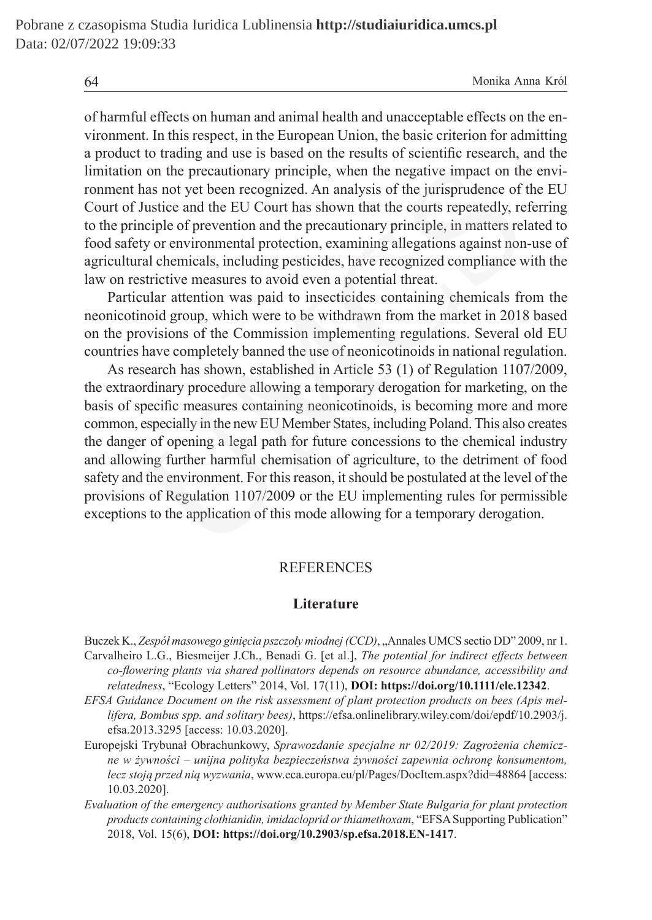of harmful effects on human and animal health and unacceptable effects on the environment. In this respect, in the European Union, the basic criterion for admitting a product to trading and use is based on the results of scientific research, and the limitation on the precautionary principle, when the negative impact on the environment has not yet been recognized. An analysis of the jurisprudence of the EU Court of Justice and the EU Court has shown that the courts repeatedly, referring to the principle of prevention and the precautionary principle, in matters related to food safety or environmental protection, examining allegations against non-use of agricultural chemicals, including pesticides, have recognized compliance with the law on restrictive measures to avoid even a potential threat.

Particular attention was paid to insecticides containing chemicals from the neonicotinoid group, which were to be withdrawn from the market in 2018 based on the provisions of the Commission implementing regulations. Several old EU countries have completely banned the use of neonicotinoids in national regulation.

As research has shown, established in Article 53 (1) of Regulation 1107/2009, the extraordinary procedure allowing a temporary derogation for marketing, on the basis of specific measures containing neonicotinoids, is becoming more and more common, especially in the new EU Member States, including Poland. This also creates the danger of opening a legal path for future concessions to the chemical industry and allowing further harmful chemisation of agriculture, to the detriment of food safety and the environment. For this reason, it should be postulated at the level of the provisions of Regulation 1107/2009 or the EU implementing rules for permissible exceptions to the application of this mode allowing for a temporary derogation. n on the precautionary principle, when the negative impact on the has not yet been recognized. An analysis of the jurisprudence of fustice and the EU Court has shown that the courts repeatedly, relative or prevention and t

#### **REFERENCES**

### **Literature**

- Buczek K., *Zespół masowego ginięcia pszczoły miodnej (CCD)*, "Annales UMCS sectio DD" 2009, nr 1. Carvalheiro L.G., Biesmeijer J.Ch., Benadi G. [et al.], *The potential for indirect effects between co-flowering plants via shared pollinators depends on resource abundance, accessibility and relatedness*, "Ecology Letters" 2014, Vol. 17(11), **DOI: https://doi.org/10.1111/ele.12342**.
- *EFSA Guidance Document on the risk assessment of plant protection products on bees (Apis mellifera, Bombus spp. and solitary bees)*, https://efsa.onlinelibrary.wiley.com/doi/epdf/10.2903/j. efsa.2013.3295 [access: 10.03.2020].
- Europejski Trybunał Obrachunkowy, *Sprawozdanie specjalne nr 02/2019: Zagrożenia chemiczne w żywności – unijna polityka bezpieczeństwa żywności zapewnia ochronę konsumentom, lecz stoją przed nią wyzwania*, www.eca.europa.eu/pl/Pages/DocItem.aspx?did=48864 [access: 10.03.2020].
- *Evaluation of the emergency authorisations granted by Member State Bulgaria for plant protection products containing clothianidin, imidacloprid or thiamethoxam*, "EFSASupporting Publication" 2018, Vol. 15(6), **DOI: https://doi.org/10.2903/sp.efsa.2018.EN-1417**.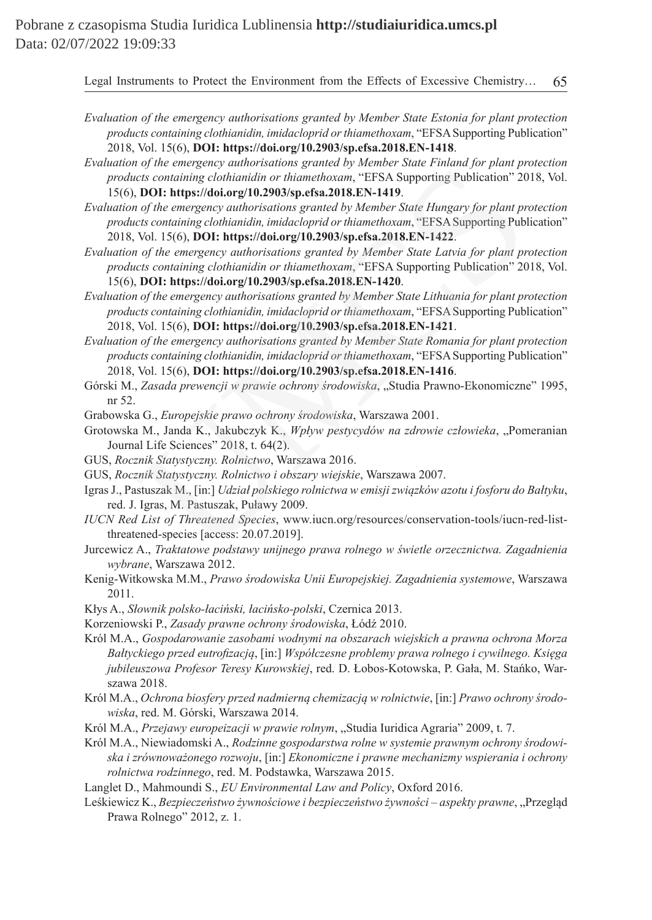- *Evaluation of the emergency authorisations granted by Member State Estonia for plant protection products containing clothianidin, imidacloprid or thiamethoxam,* "EFSA Supporting Publication" 2018, Vol. 15(6), **DOI: https://doi.org/10.2903/sp.efsa.2018.EN-1418**.
- *Evaluation of the emergency authorisations granted by Member State Finland for plant protection products containing clothianidin or thiamethoxam*, "EFSA Supporting Publication" 2018, Vol. 15(6), **DOI: https://doi.org/10.2903/sp.efsa.2018.EN-1419**.
- *Evaluation of the emergency authorisations granted by Member State Hungary for plant protection products containing clothianidin, imidacloprid or thiamethoxam,* "EFSA Supporting Publication" 2018, Vol. 15(6), **DOI: https://doi.org/10.2903/sp.efsa.2018.EN-1422**.
- *Evaluation of the emergency authorisations granted by Member State Latvia for plant protection products containing clothianidin or thiamethoxam*, "EFSA Supporting Publication" 2018, Vol. 15(6), **DOI: https://doi.org/10.2903/sp.efsa.2018.EN-1420**. by the energy authorisations granted by Member State 1 minal for the energy of the energy of the energy and point and for this containing clothianial in or thiamethoxam, "EFSA Supporting Publication" 20<br>
1001: https://doi
- *Evaluation of the emergency authorisations granted by Member State Lithuania for plant protection products containing clothianidin, imidacloprid or thiamethoxam*, "EFSASupporting Publication" 2018, Vol. 15(6), **DOI: https://doi.org/10.2903/sp.efsa.2018.EN-1421**.
- *Evaluation of the emergency authorisations granted by Member State Romania for plant protection products containing clothianidin, imidacloprid or thiamethoxam*, "EFSASupporting Publication" 2018, Vol. 15(6), **DOI: https://doi.org/10.2903/sp.efsa.2018.EN-1416**.
- Górski M., *Zasada prewencji w prawie ochrony środowiska*, "Studia Prawno-Ekonomiczne" 1995, nr 52.
- Grabowska G., *Europejskie prawo ochrony środowiska*, Warszawa 2001.
- Grotowska M., Janda K., Jakubczyk K., Wpływ pestycydów na zdrowie człowieka, "Pomeranian Journal Life Sciences" 2018, t. 64(2).
- GUS, *Rocznik Statystyczny. Rolnictwo*, Warszawa 2016.
- GUS, *Rocznik Statystyczny. Rolnictwo i obszary wiejskie*, Warszawa 2007.
- Igras J., Pastuszak M., [in:] *Udział polskiego rolnictwa w emisji związków azotu i fosforu do Bałtyku*, red. J. Igras, M. Pastuszak, Puławy 2009.
- *IUCN Red List of Threatened Species*, www.iucn.org/resources/conservation-tools/iucn-red-listthreatened-species [access: 20.07.2019].
- Jurcewicz A., *Traktatowe podstawy unijnego prawa rolnego w świetle orzecznictwa. Zagadnienia wybrane*, Warszawa 2012.
- Kenig-Witkowska M.M., *Prawo środowiska Unii Europejskiej. Zagadnienia systemowe*, Warszawa 2011.
- Kłys A., *Słownik polsko-łaciński, łacińsko-polski*, Czernica 2013.
- Korzeniowski P., *Zasady prawne ochrony środowiska*, Łódź 2010.
- Król M.A., *Gospodarowanie zasobami wodnymi na obszarach wiejskich a prawna ochrona Morza Bałtyckiego przed eutrofizacją*, [in:] *Współczesne problemy prawa rolnego i cywilnego. Księga jubileuszowa Profesor Teresy Kurowskiej*, red. D. Łobos-Kotowska, P. Gała, M. Stańko, Warszawa 2018.
- Król M.A., *Ochrona biosfery przed nadmierną chemizacją w rolnictwie*, [in:] *Prawo ochrony środowiska*, red. M. Górski, Warszawa 2014.
- Król M.A., *Przejawy europeizacji w prawie rolnym*, "Studia Iuridica Agraria" 2009, t. 7.
- Król M.A., Niewiadomski A., *Rodzinne gospodarstwa rolne w systemie prawnym ochrony środowiska i zrównoważonego rozwoju*, [in:] *Ekonomiczne i prawne mechanizmy wspierania i ochrony rolnictwa rodzinnego*, red. M. Podstawka, Warszawa 2015.
- Langlet D., Mahmoundi S., *EU Environmental Law and Policy*, Oxford 2016.
- Leśkiewicz K., *Bezpieczeństwo żywnościowe i bezpieczeństwo żywności aspekty prawne*, "Przegląd Prawa Rolnego" 2012, z. 1.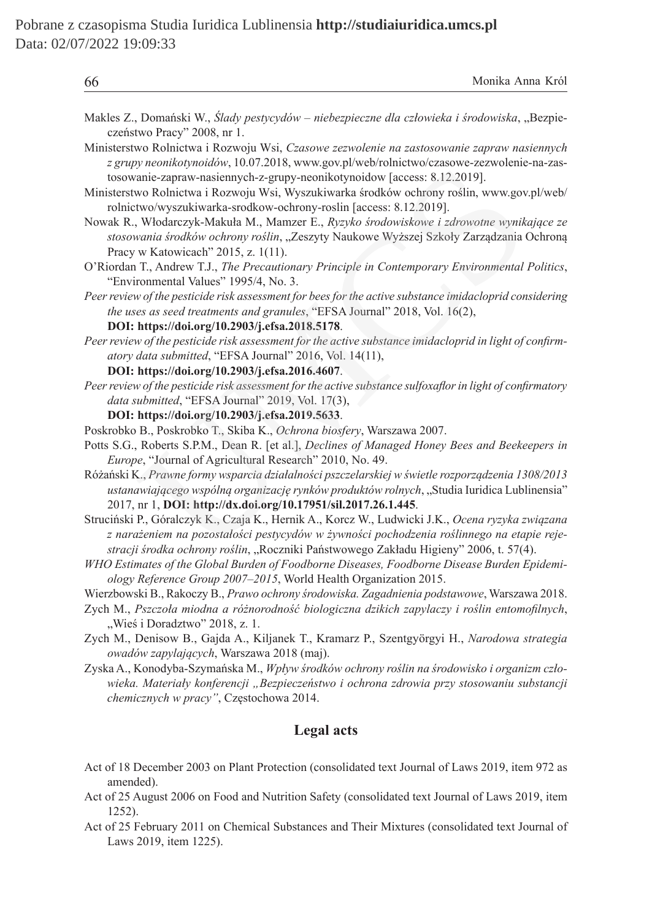| 66                                                                                                                                                                                                                                                                                     | Monika Anna Król |
|----------------------------------------------------------------------------------------------------------------------------------------------------------------------------------------------------------------------------------------------------------------------------------------|------------------|
| Makles Z., Domański W., Ślady pestycydów - niebezpieczne dla człowieka i środowiska, "Bezpie-<br>czeństwo Pracy" 2008, nr 1.                                                                                                                                                           |                  |
| Ministerstwo Rolnictwa i Rozwoju Wsi, Czasowe zezwolenie na zastosowanie zapraw nasiennych<br>z grupy neonikotynoidów, 10.07.2018, www.gov.pl/web/rolnictwo/czasowe-zezwolenie-na-zas-<br>tosowanie-zapraw-nasiennych-z-grupy-neonikotynoidow [access: 8.12.2019].                     |                  |
| Ministerstwo Rolnictwa i Rozwoju Wsi, Wyszukiwarka środków ochrony roślin, www.gov.pl/web/<br>rolnictwo/wyszukiwarka-srodkow-ochrony-roslin [access: 8.12.2019].                                                                                                                       |                  |
| Nowak R., Włodarczyk-Makuła M., Mamzer E., Ryzyko środowiskowe i zdrowotne wynikające ze<br>stosowania środków ochrony roślin, "Zeszyty Naukowe Wyższej Szkoły Zarządzania Ochroną<br>Pracy w Katowicach" 2015, z. 1(11).                                                              |                  |
| O'Riordan T., Andrew T.J., The Precautionary Principle in Contemporary Environmental Politics,<br>"Environmental Values" 1995/4, No. 3.                                                                                                                                                |                  |
| Peer review of the pesticide risk assessment for bees for the active substance imidacloprid considering<br>the uses as seed treatments and granules, "EFSA Journal" 2018, Vol. 16(2),<br>DOI: https://doi.org/10.2903/j.efsa.2018.5178.                                                |                  |
| Peer review of the pesticide risk assessment for the active substance imidacloprid in light of confirm-<br>atory data submitted, "EFSA Journal" 2016, Vol. 14(11),                                                                                                                     |                  |
| DOI: https://doi.org/10.2903/j.efsa.2016.4607.<br>Peer review of the pesticide risk assessment for the active substance sulfoxaflor in light of confirmatory                                                                                                                           |                  |
| data submitted, "EFSA Journal" 2019, Vol. 17(3),                                                                                                                                                                                                                                       |                  |
| DOI: https://doi.org/10.2903/j.efsa.2019.5633.                                                                                                                                                                                                                                         |                  |
| Poskrobko B., Poskrobko T., Skiba K., Ochrona biosfery, Warszawa 2007.                                                                                                                                                                                                                 |                  |
| Potts S.G., Roberts S.P.M., Dean R. [et al.], Declines of Managed Honey Bees and Beekeepers in<br>Europe, "Journal of Agricultural Research" 2010, No. 49.                                                                                                                             |                  |
| Różański K., Prawne formy wsparcia działalności pszczelarskiej w świetle rozporządzenia 1308/2013<br>ustanawiającego wspólną organizację rynków produktów rolnych, "Studia Iuridica Lublinensia"<br>2017, nr 1, DOI: http://dx.doi.org/10.17951/sil.2017.26.1.445.                     |                  |
| Struciński P., Góralczyk K., Czaja K., Hernik A., Korcz W., Ludwicki J.K., Ocena ryzyka związana<br>z narażeniem na pozostałości pestycydów w żywności pochodzenia roślinnego na etapie reje-<br>stracji środka ochrony roślin, "Roczniki Państwowego Zakładu Higieny" 2006, t. 57(4). |                  |
| WHO Estimates of the Global Burden of Foodborne Diseases, Foodborne Disease Burden Epidemi-<br>ology Reference Group 2007-2015, World Health Organization 2015.                                                                                                                        |                  |
| Wierzbowski B., Rakoczy B., Prawo ochrony środowiska. Zagadnienia podstawowe, Warszawa 2018.<br>Zych M., Pszczoła miodna a różnorodność biologiczna dzikich zapylaczy i roślin entomofilnych,<br>"Wieś i Doradztwo" 2018, z. 1.                                                        |                  |
| Zych M., Denisow B., Gajda A., Kiljanek T., Kramarz P., Szentgyörgyi H., Narodowa strategia<br>owadów zapylających, Warszawa 2018 (maj).                                                                                                                                               |                  |

Zyska A., Konodyba-Szymańska M., *Wpływ środków ochrony roślin na środowisko i organizm człowieka. Materiały konferencji "Bezpieczeństwo i ochrona zdrowia przy stosowaniu substancji chemicznych w pracy"*, Częstochowa 2014.

## **Legal acts**

- Act of 18 December 2003 on Plant Protection (consolidated text Journal of Laws 2019, item 972 as amended).
- Act of 25 August 2006 on Food and Nutrition Safety (consolidated text Journal of Laws 2019, item 1252).
- Act of 25 February 2011 on Chemical Substances and Their Mixtures (consolidated text Journal of Laws 2019, item 1225).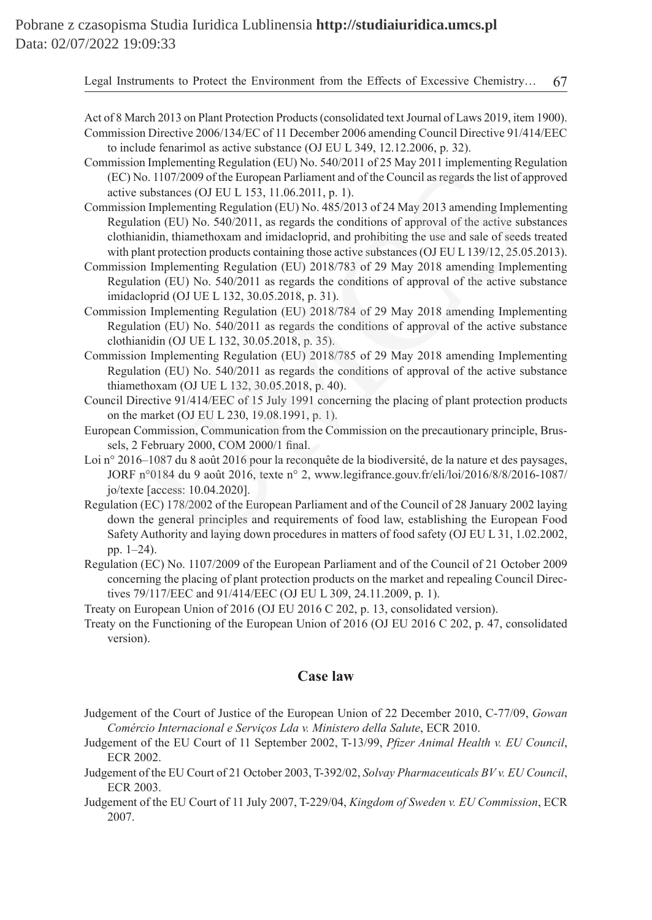- Act of 8 March 2013 on Plant Protection Products (consolidated text Journal of Laws 2019, item 1900). Commission Directive 2006/134/EC of 11 December 2006 amending Council Directive 91/414/EEC to include fenarimol as active substance (OJ EU L 349, 12.12.2006, p. 32).
- Commission Implementing Regulation (EU) No. 540/2011 of 25 May 2011 implementing Regulation (EC) No. 1107/2009 of the European Parliament and of the Council as regards the list of approved active substances (OJ EU L 153, 11.06.2011, p. 1).
- Commission Implementing Regulation (EU) No. 485/2013 of 24 May 2013 amending Implementing Regulation (EU) No. 540/2011, as regards the conditions of approval of the active substances clothianidin, thiamethoxam and imidacloprid, and prohibiting the use and sale of seeds treated with plant protection products containing those active substances (OJ EU L 139/12, 25.05.2013). Infinituality explanation (EU) isolation (EU) and the Council are regards the list of a<br>boo. 1107/2009 of the European Parliament and of the Council as regards the list of a<br>substances (OJ EU L 153, 11.06.2011, p. 1).<br>and
- Commission Implementing Regulation (EU) 2018/783 of 29 May 2018 amending Implementing Regulation (EU) No. 540/2011 as regards the conditions of approval of the active substance imidacloprid (OJ UE L 132, 30.05.2018, p. 31).
- Commission Implementing Regulation (EU) 2018/784 of 29 May 2018 amending Implementing Regulation (EU) No. 540/2011 as regards the conditions of approval of the active substance clothianidin (OJ UE L 132, 30.05.2018, p. 35).
- Commission Implementing Regulation (EU) 2018/785 of 29 May 2018 amending Implementing Regulation (EU) No. 540/2011 as regards the conditions of approval of the active substance thiamethoxam (OJ UE L 132, 30.05.2018, p. 40).
- Council Directive 91/414/EEC of 15 July 1991 concerning the placing of plant protection products on the market (OJ EU L 230, 19.08.1991, p. 1).
- European Commission, Communication from the Commission on the precautionary principle, Brussels, 2 February 2000, COM 2000/1 final.
- Loi n° 2016–1087 du 8 août 2016 pour la reconquête de la biodiversité, de la nature et des paysages, JORF n°0184 du 9 août 2016, texte n° 2, www.legifrance.gouv.fr/eli/loi/2016/8/8/2016-1087/ jo/texte [access: 10.04.2020].
- Regulation (EC) 178/2002 of the European Parliament and of the Council of 28 January 2002 laying down the general principles and requirements of food law, establishing the European Food Safety Authority and laying down procedures in matters of food safety (OJ EU L 31, 1.02.2002, pp. 1–24).
- Regulation (EC) No. 1107/2009 of the European Parliament and of the Council of 21 October 2009 concerning the placing of plant protection products on the market and repealing Council Directives 79/117/EEC and 91/414/EEC (OJ EU L 309, 24.11.2009, p. 1).
- Treaty on European Union of 2016 (OJ EU 2016 C 202, p. 13, consolidated version).
- Treaty on the Functioning of the European Union of 2016 (OJ EU 2016 C 202, p. 47, consolidated version).

#### **Case law**

- Judgement of the Court of Justice of the European Union of 22 December 2010, C-77/09, *Gowan Comércio Internacional e Serviços Lda v. Ministero della Salute*, ECR 2010.
- Judgement of the EU Court of 11 September 2002, T-13/99, *Pfizer Animal Health v. EU Council*, ECR 2002.
- Judgement of the EU Court of 21 October 2003, T-392/02, *Solvay Pharmaceuticals BV v. EU Council*, ECR 2003.
- Judgement of the EU Court of 11 July 2007, T-229/04, *Kingdom of Sweden v. EU Commission*, ECR 2007.